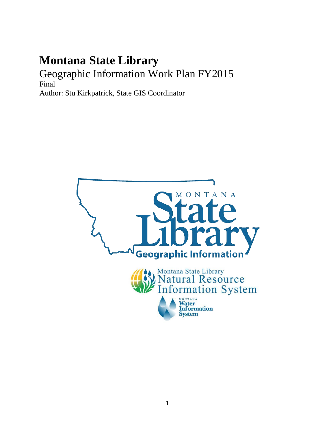# **Montana State Library** Geographic Information Work Plan FY2015 Final

Author: Stu Kirkpatrick, State GIS Coordinator

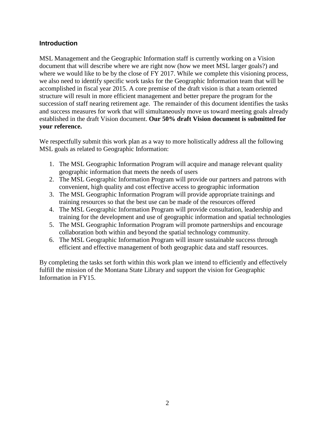#### **Introduction**

MSL Management and the Geographic Information staff is currently working on a Vision document that will describe where we are right now (how we meet MSL larger goals?) and where we would like to be by the close of FY 2017. While we complete this visioning process, we also need to identify specific work tasks for the Geographic Information team that will be accomplished in fiscal year 2015. A core premise of the draft vision is that a team oriented structure will result in more efficient management and better prepare the program for the succession of staff nearing retirement age. The remainder of this document identifies the tasks and success measures for work that will simultaneously move us toward meeting goals already established in the draft Vision document. **Our 50% draft Vision document is submitted for your reference.**

We respectfully submit this work plan as a way to more holistically address all the following MSL goals as related to Geographic Information:

- 1. The MSL Geographic Information Program will acquire and manage relevant quality geographic information that meets the needs of users
- 2. The MSL Geographic Information Program will provide our partners and patrons with convenient, high quality and cost effective access to geographic information
- 3. The MSL Geographic Information Program will provide appropriate trainings and training resources so that the best use can be made of the resources offered
- 4. The MSL Geographic Information Program will provide consultation, leadership and training for the development and use of geographic information and spatial technologies
- 5. The MSL Geographic Information Program will promote partnerships and encourage collaboration both within and beyond the spatial technology community.
- 6. The MSL Geographic Information Program will insure sustainable success through efficient and effective management of both geographic data and staff resources.

By completing the tasks set forth within this work plan we intend to efficiently and effectively fulfill the mission of the Montana State Library and support the vision for Geographic Information in FY15.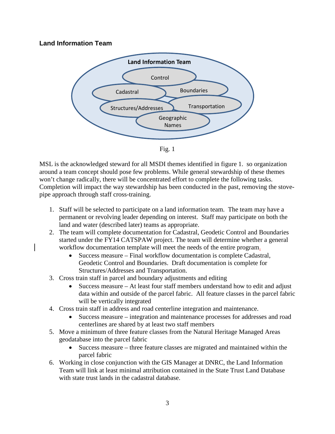### **Land Information Team**



Fig. 1

MSL is the acknowledged steward for all MSDI themes identified in figure 1. so organization around a team concept should pose few problems. While general stewardship of these themes won't change radically, there will be concentrated effort to complete the following tasks. Completion will impact the way stewardship has been conducted in the past, removing the stovepipe approach through staff cross-training.

- 1. Staff will be selected to participate on a land information team. The team may have a permanent or revolving leader depending on interest. Staff may participate on both the land and water (described later) teams as appropriate.
- 2. The team will complete documentation for Cadastral, Geodetic Control and Boundaries started under the FY14 CATSPAW project. The team will determine whether a general workflow documentation template will meet the needs of the entire program.
	- Success measure Final workflow documentation is complete Cadastral, Geodetic Control and Boundaries. Draft documentation is complete for Structures/Addresses and Transportation.
- 3. Cross train staff in parcel and boundary adjustments and editing
	- Success measure At least four staff members understand how to edit and adjust data within and outside of the parcel fabric. All feature classes in the parcel fabric will be vertically integrated
- 4. Cross train staff in address and road centerline integration and maintenance.
	- Success measure integration and maintenance processes for addresses and road centerlines are shared by at least two staff members
- 5. Move a minimum of three feature classes from the Natural Heritage Managed Areas geodatabase into the parcel fabric
	- Success measure three feature classes are migrated and maintained within the parcel fabric
- 6. Working in close conjunction with the GIS Manager at DNRC, the Land Information Team will link at least minimal attribution contained in the State Trust Land Database with state trust lands in the cadastral database.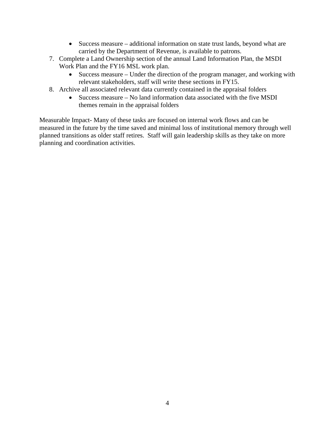- Success measure additional information on state trust lands, beyond what are carried by the Department of Revenue, is available to patrons.
- 7. Complete a Land Ownership section of the annual Land Information Plan, the MSDI Work Plan and the FY16 MSL work plan.
	- Success measure Under the direction of the program manager, and working with relevant stakeholders, staff will write these sections in FY15.
- 8. Archive all associated relevant data currently contained in the appraisal folders
	- Success measure No land information data associated with the five MSDI themes remain in the appraisal folders

Measurable Impact- Many of these tasks are focused on internal work flows and can be measured in the future by the time saved and minimal loss of institutional memory through well planned transitions as older staff retires. Staff will gain leadership skills as they take on more planning and coordination activities.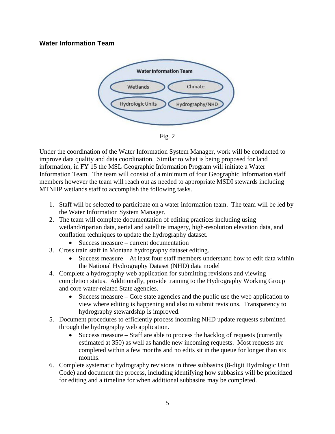#### **Water Information Team**



Fig. 2

Under the coordination of the Water Information System Manager, work will be conducted to improve data quality and data coordination. Similar to what is being proposed for land information, in FY 15 the MSL Geographic Information Program will initiate a Water Information Team. The team will consist of a minimum of four Geographic Information staff members however the team will reach out as needed to appropriate MSDI stewards including MTNHP wetlands staff to accomplish the following tasks.

- 1. Staff will be selected to participate on a water information team. The team will be led by the Water Information System Manager.
- 2. The team will complete documentation of editing practices including using wetland/riparian data, aerial and satellite imagery, high-resolution elevation data, and conflation techniques to update the hydrography dataset.
	- Success measure current documentation
- 3. Cross train staff in Montana hydrography dataset editing.
	- Success measure At least four staff members understand how to edit data within the National Hydrography Dataset (NHD) data model
- 4. Complete a hydrography web application for submitting revisions and viewing completion status. Additionally, provide training to the Hydrography Working Group and core water-related State agencies.
	- Success measure Core state agencies and the public use the web application to view where editing is happening and also to submit revisions. Transparency to hydrography stewardship is improved.
- 5. Document procedures to efficiently process incoming NHD update requests submitted through the hydrography web application.
	- Success measure Staff are able to process the backlog of requests (currently estimated at 350) as well as handle new incoming requests. Most requests are completed within a few months and no edits sit in the queue for longer than six months.
- 6. Complete systematic hydrography revisions in three subbasins (8-digit Hydrologic Unit Code) and document the process, including identifying how subbasins will be prioritized for editing and a timeline for when additional subbasins may be completed.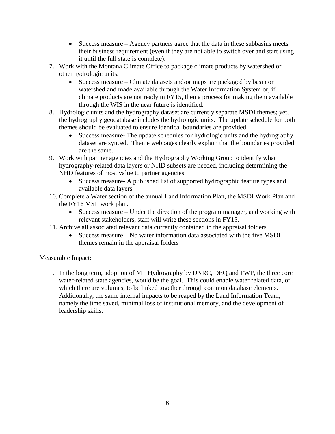- Success measure Agency partners agree that the data in these subbasins meets their business requirement (even if they are not able to switch over and start using it until the full state is complete).
- 7. Work with the Montana Climate Office to package climate products by watershed or other hydrologic units.
	- Success measure Climate datasets and/or maps are packaged by basin or watershed and made available through the Water Information System or, if climate products are not ready in FY15, then a process for making them available through the WIS in the near future is identified.
- 8. Hydrologic units and the hydrography dataset are currently separate MSDI themes; yet, the hydrography geodatabase includes the hydrologic units. The update schedule for both themes should be evaluated to ensure identical boundaries are provided.
	- Success measure- The update schedules for hydrologic units and the hydrography dataset are synced. Theme webpages clearly explain that the boundaries provided are the same.
- 9. Work with partner agencies and the Hydrography Working Group to identify what hydrography-related data layers or NHD subsets are needed, including determining the NHD features of most value to partner agencies.
	- Success measure- A published list of supported hydrographic feature types and available data layers.
- 10. Complete a Water section of the annual Land Information Plan, the MSDI Work Plan and the FY16 MSL work plan.
	- Success measure Under the direction of the program manager, and working with relevant stakeholders, staff will write these sections in FY15.
- 11. Archive all associated relevant data currently contained in the appraisal folders
	- Success measure No water information data associated with the five MSDI themes remain in the appraisal folders

## Measurable Impact:

1. In the long term, adoption of MT Hydrography by DNRC, DEQ and FWP, the three core water-related state agencies, would be the goal. This could enable water related data, of which there are volumes, to be linked together through common database elements. Additionally, the same internal impacts to be reaped by the Land Information Team, namely the time saved, minimal loss of institutional memory, and the development of leadership skills.